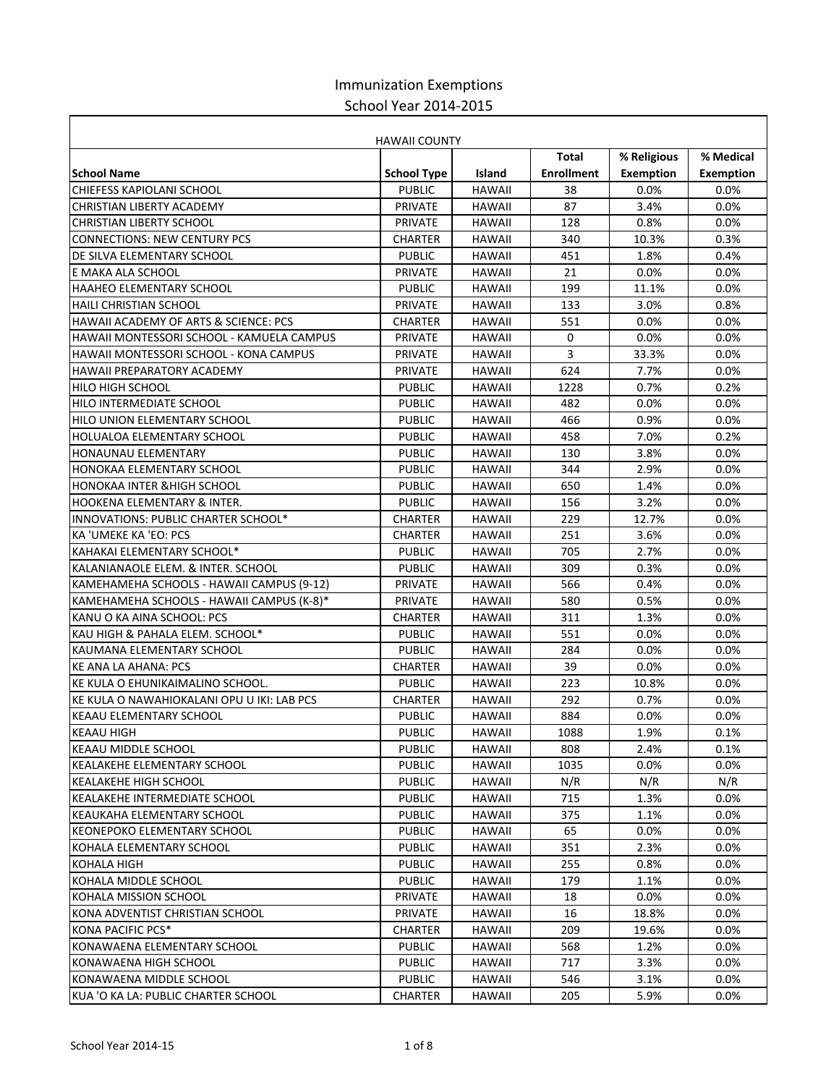## Immunization Exemptions School Year 2014-2015

| <b>HAWAII COUNTY</b>                       |                    |               |                   |                  |           |  |
|--------------------------------------------|--------------------|---------------|-------------------|------------------|-----------|--|
|                                            |                    |               | <b>Total</b>      | % Religious      | % Medical |  |
| <b>School Name</b>                         | <b>School Type</b> | <b>Island</b> | <b>Enrollment</b> | <b>Exemption</b> | Exemption |  |
| CHIEFESS KAPIOLANI SCHOOL                  | <b>PUBLIC</b>      | <b>HAWAII</b> | 38                | 0.0%             | 0.0%      |  |
| CHRISTIAN LIBERTY ACADEMY                  | <b>PRIVATE</b>     | <b>HAWAII</b> | 87                | 3.4%             | $0.0\%$   |  |
| <b>CHRISTIAN LIBERTY SCHOOL</b>            | <b>PRIVATE</b>     | <b>HAWAII</b> | 128               | 0.8%             | $0.0\%$   |  |
| <b>CONNECTIONS: NEW CENTURY PCS</b>        | <b>CHARTER</b>     | <b>HAWAII</b> | 340               | 10.3%            | 0.3%      |  |
| DE SILVA ELEMENTARY SCHOOL                 | <b>PUBLIC</b>      | <b>HAWAII</b> | 451               | 1.8%             | 0.4%      |  |
| E MAKA ALA SCHOOL                          | <b>PRIVATE</b>     | <b>HAWAII</b> | 21                | 0.0%             | $0.0\%$   |  |
| <b>HAAHEO ELEMENTARY SCHOOL</b>            | <b>PUBLIC</b>      | <b>HAWAII</b> | 199               | 11.1%            | $0.0\%$   |  |
| <b>HAILI CHRISTIAN SCHOOL</b>              | <b>PRIVATE</b>     | <b>HAWAII</b> | 133               | 3.0%             | 0.8%      |  |
| HAWAII ACADEMY OF ARTS & SCIENCE: PCS      | <b>CHARTER</b>     | <b>HAWAII</b> | 551               | 0.0%             | $0.0\%$   |  |
| HAWAII MONTESSORI SCHOOL - KAMUELA CAMPUS  | <b>PRIVATE</b>     | <b>HAWAII</b> | 0                 | 0.0%             | $0.0\%$   |  |
| HAWAII MONTESSORI SCHOOL - KONA CAMPUS     | <b>PRIVATE</b>     | <b>HAWAII</b> | 3                 | 33.3%            | $0.0\%$   |  |
| <b>HAWAII PREPARATORY ACADEMY</b>          | <b>PRIVATE</b>     | <b>HAWAII</b> | 624               | 7.7%             | $0.0\%$   |  |
| <b>HILO HIGH SCHOOL</b>                    | <b>PUBLIC</b>      | <b>HAWAII</b> | 1228              | 0.7%             | 0.2%      |  |
| HILO INTERMEDIATE SCHOOL                   | <b>PUBLIC</b>      | <b>HAWAII</b> | 482               | 0.0%             | $0.0\%$   |  |
| HILO UNION ELEMENTARY SCHOOL               | <b>PUBLIC</b>      | <b>HAWAII</b> | 466               | 0.9%             | $0.0\%$   |  |
| <b>HOLUALOA ELEMENTARY SCHOOL</b>          | <b>PUBLIC</b>      | <b>HAWAII</b> | 458               | 7.0%             | 0.2%      |  |
| <b>HONAUNAU ELEMENTARY</b>                 | <b>PUBLIC</b>      | <b>HAWAII</b> | 130               | 3.8%             | $0.0\%$   |  |
| HONOKAA ELEMENTARY SCHOOL                  | <b>PUBLIC</b>      | <b>HAWAII</b> | 344               | 2.9%             | $0.0\%$   |  |
| <b>HONOKAA INTER &amp; HIGH SCHOOL</b>     | <b>PUBLIC</b>      | <b>HAWAII</b> | 650               | 1.4%             | $0.0\%$   |  |
| HOOKENA ELEMENTARY & INTER.                | <b>PUBLIC</b>      | <b>HAWAII</b> | 156               | 3.2%             | $0.0\%$   |  |
| INNOVATIONS: PUBLIC CHARTER SCHOOL*        | <b>CHARTER</b>     | <b>HAWAII</b> | 229               | 12.7%            | $0.0\%$   |  |
| KA 'UMEKE KA 'EO: PCS                      | <b>CHARTER</b>     | <b>HAWAII</b> | 251               | 3.6%             | $0.0\%$   |  |
| KAHAKAI ELEMENTARY SCHOOL*                 | <b>PUBLIC</b>      | <b>HAWAII</b> | 705               | 2.7%             | $0.0\%$   |  |
| KALANIANAOLE ELEM. & INTER. SCHOOL         | <b>PUBLIC</b>      | <b>HAWAII</b> | 309               | 0.3%             | $0.0\%$   |  |
| KAMEHAMEHA SCHOOLS - HAWAII CAMPUS (9-12)  | <b>PRIVATE</b>     | <b>HAWAII</b> | 566               | 0.4%             | $0.0\%$   |  |
| KAMEHAMEHA SCHOOLS - HAWAII CAMPUS (K-8)*  | <b>PRIVATE</b>     | <b>HAWAII</b> | 580               | 0.5%             | $0.0\%$   |  |
| KANU O KA AINA SCHOOL: PCS                 | <b>CHARTER</b>     | <b>HAWAII</b> | 311               | 1.3%             | $0.0\%$   |  |
| KAU HIGH & PAHALA ELEM. SCHOOL*            | <b>PUBLIC</b>      | <b>HAWAII</b> | 551               | 0.0%             | $0.0\%$   |  |
| KAUMANA ELEMENTARY SCHOOL                  | <b>PUBLIC</b>      | <b>HAWAII</b> | 284               | 0.0%             | $0.0\%$   |  |
| <b>KE ANA LA AHANA: PCS</b>                | <b>CHARTER</b>     | <b>HAWAII</b> | 39                | 0.0%             | $0.0\%$   |  |
| KE KULA O EHUNIKAIMALINO SCHOOL.           | <b>PUBLIC</b>      | <b>HAWAII</b> | 223               | 10.8%            | $0.0\%$   |  |
| KE KULA O NAWAHIOKALANI OPU U IKI: LAB PCS | <b>CHARTER</b>     | <b>HAWAII</b> | 292               | 0.7%             | $0.0\%$   |  |
| <b>KEAAU ELEMENTARY SCHOOL</b>             | <b>PUBLIC</b>      | <b>HAWAII</b> | 884               | 0.0%             | $0.0\%$   |  |
| <b>KEAAU HIGH</b>                          | <b>PUBLIC</b>      | HAWAII        | 1088              | 1.9%             | 0.1%      |  |
| KEAAU MIDDLE SCHOOL                        | <b>PUBLIC</b>      | HAWAII        | 808               | 2.4%             | 0.1%      |  |
| KEALAKEHE ELEMENTARY SCHOOL                | <b>PUBLIC</b>      | HAWAII        | 1035              | $0.0\%$          | $0.0\%$   |  |
| <b>KEALAKEHE HIGH SCHOOL</b>               | <b>PUBLIC</b>      | <b>HAWAII</b> | N/R               | N/R              | N/R       |  |
| KEALAKEHE INTERMEDIATE SCHOOL              | <b>PUBLIC</b>      | HAWAII        | 715               | 1.3%             | $0.0\%$   |  |
| KEAUKAHA ELEMENTARY SCHOOL                 | <b>PUBLIC</b>      | <b>HAWAII</b> | 375               | 1.1%             | $0.0\%$   |  |
| <b>KEONEPOKO ELEMENTARY SCHOOL</b>         | <b>PUBLIC</b>      | HAWAII        | 65                | 0.0%             | 0.0%      |  |
| KOHALA ELEMENTARY SCHOOL                   | <b>PUBLIC</b>      | HAWAII        | 351               | 2.3%             | 0.0%      |  |
| <b>KOHALA HIGH</b>                         | <b>PUBLIC</b>      | HAWAII        | 255               | 0.8%             | $0.0\%$   |  |
| KOHALA MIDDLE SCHOOL                       | <b>PUBLIC</b>      | HAWAII        | 179               | 1.1%             | 0.0%      |  |
| KOHALA MISSION SCHOOL                      | <b>PRIVATE</b>     | HAWAII        | 18                | $0.0\%$          | 0.0%      |  |
| KONA ADVENTIST CHRISTIAN SCHOOL            | PRIVATE            | HAWAII        | 16                | 18.8%            | 0.0%      |  |
| KONA PACIFIC PCS*                          | CHARTER            | HAWAII        | 209               | 19.6%            | 0.0%      |  |
| KONAWAENA ELEMENTARY SCHOOL                | <b>PUBLIC</b>      | HAWAII        | 568               | 1.2%             | 0.0%      |  |
| KONAWAENA HIGH SCHOOL                      | <b>PUBLIC</b>      | HAWAII        | 717               | 3.3%             | $0.0\%$   |  |
| KONAWAENA MIDDLE SCHOOL                    | <b>PUBLIC</b>      | HAWAII        | 546               | 3.1%             | $0.0\%$   |  |
| KUA 'O KA LA: PUBLIC CHARTER SCHOOL        | CHARTER            | <b>HAWAII</b> | 205               | 5.9%             | 0.0%      |  |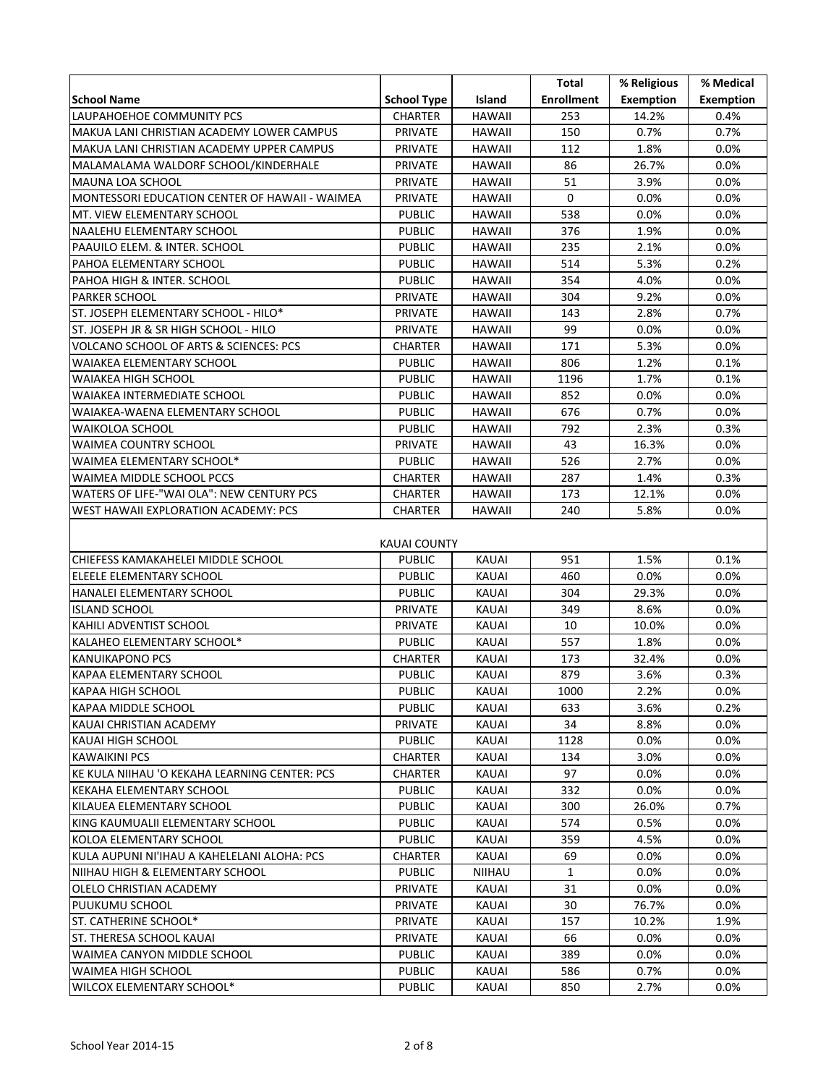|                                                |                    |               | Total             | % Religious      | % Medical        |  |
|------------------------------------------------|--------------------|---------------|-------------------|------------------|------------------|--|
| <b>School Name</b>                             | <b>School Type</b> | Island        | <b>Enrollment</b> | <b>Exemption</b> | <b>Exemption</b> |  |
| LAUPAHOEHOE COMMUNITY PCS                      | <b>CHARTER</b>     | <b>HAWAII</b> | 253               | 14.2%            | 0.4%             |  |
| MAKUA LANI CHRISTIAN ACADEMY LOWER CAMPUS      | PRIVATE            | <b>HAWAII</b> | 150               | 0.7%             | 0.7%             |  |
| MAKUA LANI CHRISTIAN ACADEMY UPPER CAMPUS      | PRIVATE            | <b>HAWAII</b> | 112               | 1.8%             | 0.0%             |  |
| MALAMALAMA WALDORF SCHOOL/KINDERHALE           | PRIVATE            | <b>HAWAII</b> | 86                | 26.7%            | 0.0%             |  |
| MAUNA LOA SCHOOL                               | PRIVATE            | <b>HAWAII</b> | 51                | 3.9%             | 0.0%             |  |
| MONTESSORI EDUCATION CENTER OF HAWAII - WAIMEA | PRIVATE            | <b>HAWAII</b> | 0                 | 0.0%             | 0.0%             |  |
| MT. VIEW ELEMENTARY SCHOOL                     | <b>PUBLIC</b>      | <b>HAWAII</b> | 538               | 0.0%             | 0.0%             |  |
| NAALEHU ELEMENTARY SCHOOL                      | <b>PUBLIC</b>      | <b>HAWAII</b> | 376               | 1.9%             | 0.0%             |  |
| PAAUILO ELEM. & INTER. SCHOOL                  | <b>PUBLIC</b>      | <b>HAWAII</b> | 235               | 2.1%             | 0.0%             |  |
| PAHOA ELEMENTARY SCHOOL                        | <b>PUBLIC</b>      | <b>HAWAII</b> | 514               | 5.3%             | 0.2%             |  |
| PAHOA HIGH & INTER. SCHOOL                     | <b>PUBLIC</b>      | <b>HAWAII</b> | 354               | 4.0%             | 0.0%             |  |
| <b>PARKER SCHOOL</b>                           | PRIVATE            | <b>HAWAII</b> | 304               | 9.2%             | 0.0%             |  |
| ST. JOSEPH ELEMENTARY SCHOOL - HILO*           | PRIVATE            | <b>HAWAII</b> | 143               | 2.8%             | 0.7%             |  |
| ST. JOSEPH JR & SR HIGH SCHOOL - HILO          | PRIVATE            | <b>HAWAII</b> | 99                | 0.0%             | 0.0%             |  |
| VOLCANO SCHOOL OF ARTS & SCIENCES: PCS         | <b>CHARTER</b>     | <b>HAWAII</b> | 171               | 5.3%             | 0.0%             |  |
| <b>WAIAKEA ELEMENTARY SCHOOL</b>               | <b>PUBLIC</b>      | <b>HAWAII</b> | 806               | 1.2%             | 0.1%             |  |
| WAIAKEA HIGH SCHOOL                            | <b>PUBLIC</b>      | <b>HAWAII</b> | 1196              | 1.7%             | 0.1%             |  |
| WAIAKEA INTERMEDIATE SCHOOL                    | <b>PUBLIC</b>      | <b>HAWAII</b> | 852               | 0.0%             | 0.0%             |  |
| WAIAKEA-WAENA ELEMENTARY SCHOOL                | <b>PUBLIC</b>      | <b>HAWAII</b> | 676               | 0.7%             | 0.0%             |  |
| <b>WAIKOLOA SCHOOL</b>                         | <b>PUBLIC</b>      | <b>HAWAII</b> | 792               | 2.3%             | 0.3%             |  |
| <b>WAIMEA COUNTRY SCHOOL</b>                   | PRIVATE            | <b>HAWAII</b> | 43                | 16.3%            | 0.0%             |  |
| WAIMEA ELEMENTARY SCHOOL*                      | <b>PUBLIC</b>      | <b>HAWAII</b> | 526               | 2.7%             | 0.0%             |  |
| WAIMEA MIDDLE SCHOOL PCCS                      | <b>CHARTER</b>     | <b>HAWAII</b> | 287               | 1.4%             | 0.3%             |  |
| WATERS OF LIFE-"WAI OLA": NEW CENTURY PCS      | CHARTER            | <b>HAWAII</b> | 173               | 12.1%            | 0.0%             |  |
| WEST HAWAII EXPLORATION ACADEMY: PCS           | CHARTER            | HAWAII        | 240               | 5.8%             | 0.0%             |  |
|                                                |                    |               |                   |                  |                  |  |
| KAUAI COUNTY                                   |                    |               |                   |                  |                  |  |
| CHIEFESS KAMAKAHELEI MIDDLE SCHOOL             | <b>PUBLIC</b>      | <b>KAUAI</b>  | 951               | 1.5%             | 0.1%             |  |
| ELEELE ELEMENTARY SCHOOL                       | <b>PUBLIC</b>      | <b>KAUAI</b>  | 460               | 0.0%             | $0.0\%$          |  |
| HANALEI ELEMENTARY SCHOOL                      | <b>PUBLIC</b>      | <b>KAUAI</b>  | 304               | 29.3%            | 0.0%             |  |
| <b>ISLAND SCHOOL</b>                           | PRIVATE            | <b>KAUAI</b>  | 349               | 8.6%             | 0.0%             |  |
| KAHILI ADVENTIST SCHOOL                        | PRIVATE            | <b>KAUAI</b>  | 10                | 10.0%            | 0.0%             |  |
| KALAHEO ELEMENTARY SCHOOL*                     | <b>PUBLIC</b>      | <b>KAUAI</b>  | 557               | 1.8%             | 0.0%             |  |
| KANUIKAPONO PCS                                | <b>CHARTER</b>     | <b>KAUAI</b>  | 173               | 32.4%            | 0.0%             |  |
| KAPAA ELEMENTARY SCHOOL                        | <b>PUBLIC</b>      | <b>KAUAI</b>  | 879               | 3.6%             | 0.3%             |  |
| <b>KAPAA HIGH SCHOOL</b>                       | <b>PUBLIC</b>      | KAUAI         | 1000              | 2.2%             | 0.0%             |  |
| KAPAA MIDDLE SCHOOL                            | <b>PUBLIC</b>      | KAUAI         | 633               | 3.6%             | 0.2%             |  |
| KAUAI CHRISTIAN ACADEMY                        | PRIVATE            | KAUAI         | 34                | 8.8%             | $0.0\%$          |  |
| KAUAI HIGH SCHOOL                              | <b>PUBLIC</b>      | KAUAI         | 1128              | 0.0%             | $0.0\%$          |  |
| KAWAIKINI PCS                                  | CHARTER            | KAUAI         | 134               | 3.0%             | $0.0\%$          |  |
| KE KULA NIIHAU 'O KEKAHA LEARNING CENTER: PCS  | CHARTER            | KAUAI         | 97                | 0.0%             | $0.0\%$          |  |
| KEKAHA ELEMENTARY SCHOOL                       | <b>PUBLIC</b>      | KAUAI         | 332               | $0.0\%$          | $0.0\%$          |  |
| KILAUEA ELEMENTARY SCHOOL                      | <b>PUBLIC</b>      | KAUAI         | 300               | 26.0%            | 0.7%             |  |
| KING KAUMUALII ELEMENTARY SCHOOL               | <b>PUBLIC</b>      | KAUAI         | 574               | 0.5%             | $0.0\%$          |  |
| KOLOA ELEMENTARY SCHOOL                        | <b>PUBLIC</b>      | KAUAI         | 359               | 4.5%             | $0.0\%$          |  |
| KULA AUPUNI NI'IHAU A KAHELELANI ALOHA: PCS    | CHARTER            | KAUAI         | 69                | 0.0%             | $0.0\%$          |  |
| NIIHAU HIGH & ELEMENTARY SCHOOL                | <b>PUBLIC</b>      | NIIHAU        | 1                 | 0.0%             | $0.0\%$          |  |
| OLELO CHRISTIAN ACADEMY                        | PRIVATE            | KAUAI         | 31                | $0.0\%$          | $0.0\%$          |  |
| PUUKUMU SCHOOL                                 | PRIVATE            | KAUAI         | 30                | 76.7%            | $0.0\%$          |  |
| ST. CATHERINE SCHOOL*                          | PRIVATE            | KAUAI         | 157               | 10.2%            | 1.9%             |  |
| <b>ST. THERESA SCHOOL KAUAI</b>                | PRIVATE            | KAUAI         | 66                | $0.0\%$          | $0.0\%$          |  |
| WAIMEA CANYON MIDDLE SCHOOL                    | <b>PUBLIC</b>      | KAUAI         | 389               | 0.0%             | $0.0\%$          |  |
| WAIMEA HIGH SCHOOL                             | <b>PUBLIC</b>      | KAUAI         | 586               | 0.7%             | $0.0\%$          |  |
| WILCOX ELEMENTARY SCHOOL*                      | <b>PUBLIC</b>      | KAUAI         | 850               | 2.7%             | 0.0%             |  |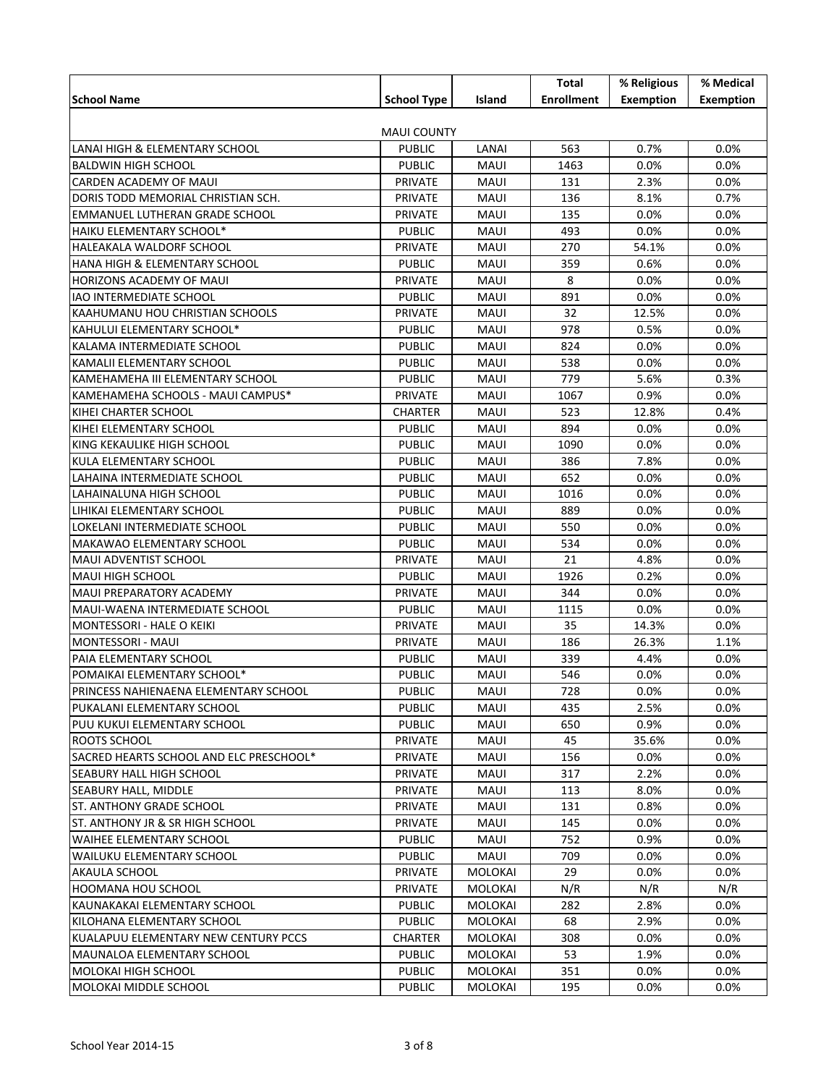|                                         |                                |                | Total             | % Religious      | % Medical        |  |  |
|-----------------------------------------|--------------------------------|----------------|-------------------|------------------|------------------|--|--|
| <b>School Name</b>                      | <b>School Type</b>             | Island         | <b>Enrollment</b> | <b>Exemption</b> | <b>Exemption</b> |  |  |
|                                         |                                |                |                   |                  |                  |  |  |
| <b>MAUI COUNTY</b>                      |                                |                |                   |                  |                  |  |  |
| LANAI HIGH & ELEMENTARY SCHOOL          | <b>PUBLIC</b>                  | LANAI          | 563               | 0.7%             | 0.0%             |  |  |
| <b>BALDWIN HIGH SCHOOL</b>              | <b>PUBLIC</b>                  | MAUI           | 1463              | 0.0%             | 0.0%             |  |  |
| CARDEN ACADEMY OF MAUI                  | <b>PRIVATE</b>                 | MAUI           | 131               | 2.3%             | $0.0\%$          |  |  |
| DORIS TODD MEMORIAL CHRISTIAN SCH.      | PRIVATE                        | MAUI           | 136               | 8.1%             | 0.7%             |  |  |
| EMMANUEL LUTHERAN GRADE SCHOOL          | PRIVATE                        | MAUI           | 135               | 0.0%             | $0.0\%$          |  |  |
| HAIKU ELEMENTARY SCHOOL*                | <b>PUBLIC</b>                  | MAUI           | 493               | 0.0%             | 0.0%             |  |  |
| HALEAKALA WALDORF SCHOOL                | PRIVATE                        | MAUI           | 270               | 54.1%            | 0.0%             |  |  |
| HANA HIGH & ELEMENTARY SCHOOL           | <b>PUBLIC</b>                  | MAUI           | 359               | 0.6%             | 0.0%             |  |  |
| HORIZONS ACADEMY OF MAUI                | <b>PRIVATE</b>                 | MAUI           | 8                 | 0.0%             | $0.0\%$          |  |  |
| <b>IAO INTERMEDIATE SCHOOL</b>          | <b>PUBLIC</b>                  | MAUI           | 891               | 0.0%             | $0.0\%$          |  |  |
| KAAHUMANU HOU CHRISTIAN SCHOOLS         | PRIVATE                        | MAUI           | 32                | 12.5%            | $0.0\%$          |  |  |
| KAHULUI ELEMENTARY SCHOOL*              | <b>PUBLIC</b>                  | MAUI           | 978               | 0.5%             | 0.0%             |  |  |
| KALAMA INTERMEDIATE SCHOOL              | <b>PUBLIC</b>                  | MAUI           | 824               | 0.0%             | 0.0%             |  |  |
| KAMALII ELEMENTARY SCHOOL               | <b>PUBLIC</b>                  | MAUI           | 538               | 0.0%             | 0.0%             |  |  |
| KAMEHAMEHA III ELEMENTARY SCHOOL        | <b>PUBLIC</b>                  | MAUI           | 779               | 5.6%             | 0.3%             |  |  |
| KAMEHAMEHA SCHOOLS - MAUI CAMPUS*       | PRIVATE                        | MAUI           | 1067              | 0.9%             | $0.0\%$          |  |  |
| KIHEI CHARTER SCHOOL                    | <b>CHARTER</b>                 | MAUI           | 523               | 12.8%            | 0.4%             |  |  |
| KIHEI ELEMENTARY SCHOOL                 | <b>PUBLIC</b>                  | MAUI           | 894               | 0.0%             | $0.0\%$          |  |  |
| KING KEKAULIKE HIGH SCHOOL              | <b>PUBLIC</b>                  | MAUI           | 1090              | 0.0%             | 0.0%             |  |  |
| KULA ELEMENTARY SCHOOL                  | <b>PUBLIC</b>                  | MAUI           | 386               | 7.8%             | 0.0%             |  |  |
| LAHAINA INTERMEDIATE SCHOOL             | <b>PUBLIC</b>                  | MAUI           | 652               | 0.0%             | 0.0%             |  |  |
| LAHAINALUNA HIGH SCHOOL                 | <b>PUBLIC</b>                  | MAUI           | 1016              | 0.0%             | $0.0\%$          |  |  |
| LIHIKAI ELEMENTARY SCHOOL               | <b>PUBLIC</b>                  | MAUI           | 889               | 0.0%             | $0.0\%$          |  |  |
| LOKELANI INTERMEDIATE SCHOOL            | <b>PUBLIC</b>                  | MAUI           | 550               | 0.0%             | 0.0%             |  |  |
| MAKAWAO ELEMENTARY SCHOOL               | <b>PUBLIC</b>                  | MAUI           | 534               | 0.0%             | 0.0%             |  |  |
| MAUI ADVENTIST SCHOOL                   | PRIVATE                        | MAUI           | 21                | 4.8%             | 0.0%             |  |  |
| <b>MAUI HIGH SCHOOL</b>                 | <b>PUBLIC</b>                  | MAUI           | 1926              | 0.2%             | 0.0%             |  |  |
| MAUI PREPARATORY ACADEMY                | <b>PRIVATE</b>                 | MAUI           | 344               | 0.0%             | $0.0\%$          |  |  |
| MAUI-WAENA INTERMEDIATE SCHOOL          | <b>PUBLIC</b>                  | MAUI           | 1115              | 0.0%             | $0.0\%$          |  |  |
| MONTESSORI - HALE O KEIKI               | PRIVATE                        | MAUI           | 35                | 14.3%            | 0.0%             |  |  |
| MONTESSORI - MAUI                       | PRIVATE                        | MAUI           | 186               | 26.3%            | 1.1%             |  |  |
| PAIA ELEMENTARY SCHOOL                  | <b>PUBLIC</b>                  | MAUI           | 339               | 4.4%             | 0.0%             |  |  |
| POMAIKAI ELEMENTARY SCHOOL*             | <b>PUBLIC</b>                  | MAUI           | 546               | 0.0%             | 0.0%             |  |  |
| PRINCESS NAHIENAENA ELEMENTARY SCHOOL   | <b>PUBLIC</b>                  | MAUI           | 728               | 0.0%             | 0.0%             |  |  |
| PUKALANI ELEMENTARY SCHOOL              | <b>PUBLIC</b>                  | MAUI           | 435               | 2.5%             | $0.0\%$          |  |  |
| PUU KUKUI ELEMENTARY SCHOOL             | <b>PUBLIC</b>                  | MAUI           | 650               | 0.9%             | $0.0\%$          |  |  |
| <b>ROOTS SCHOOL</b>                     | <b>PRIVATE</b>                 | MAUI           | 45                | 35.6%            | $0.0\%$          |  |  |
| SACRED HEARTS SCHOOL AND ELC PRESCHOOL* | PRIVATE                        | MAUI           | 156               | 0.0%             | $0.0\%$          |  |  |
| <b>SEABURY HALL HIGH SCHOOL</b>         | PRIVATE                        | MAUI           | 317               | 2.2%             | $0.0\%$          |  |  |
| <b>SEABURY HALL, MIDDLE</b>             | PRIVATE                        | MAUI           | 113               | 8.0%             | $0.0\%$          |  |  |
| <b>ST. ANTHONY GRADE SCHOOL</b>         | <b>PRIVATE</b>                 | MAUI           | 131               | 0.8%             | $0.0\%$          |  |  |
| ST. ANTHONY JR & SR HIGH SCHOOL         | <b>PRIVATE</b>                 | MAUI           | 145               | 0.0%             | $0.0\%$          |  |  |
| <b>WAIHEE ELEMENTARY SCHOOL</b>         | <b>PUBLIC</b>                  | MAUI           | 752               | 0.9%             | $0.0\%$          |  |  |
| <b>WAILUKU ELEMENTARY SCHOOL</b>        | <b>PUBLIC</b>                  | MAUI           | 709               | 0.0%             | $0.0\%$          |  |  |
| AKAULA SCHOOL                           | <b>PRIVATE</b>                 | <b>MOLOKAI</b> | 29                | 0.0%             | $0.0\%$          |  |  |
| <b>HOOMANA HOU SCHOOL</b>               | <b>PRIVATE</b>                 | <b>MOLOKAI</b> | N/R               | N/R              | N/R              |  |  |
| KAUNAKAKAI ELEMENTARY SCHOOL            | <b>PUBLIC</b>                  | <b>MOLOKAI</b> | 282               | 2.8%             | $0.0\%$          |  |  |
| KILOHANA ELEMENTARY SCHOOL              | <b>PUBLIC</b>                  | <b>MOLOKAI</b> | 68                | 2.9%             | $0.0\%$          |  |  |
| KUALAPUU ELEMENTARY NEW CENTURY PCCS    | <b>CHARTER</b>                 | <b>MOLOKAI</b> | 308               | 0.0%             | $0.0\%$          |  |  |
|                                         |                                |                |                   |                  |                  |  |  |
| <b>MAUNALOA ELEMENTARY SCHOOL</b>       | <b>PUBLIC</b><br><b>PUBLIC</b> | <b>MOLOKAI</b> | 53                | 1.9%             | $0.0\%$          |  |  |
| <b>MOLOKAI HIGH SCHOOL</b>              |                                | <b>MOLOKAI</b> | 351               | $0.0\%$          | $0.0\%$          |  |  |
| MOLOKAI MIDDLE SCHOOL                   | <b>PUBLIC</b>                  | <b>MOLOKAI</b> | 195               | $0.0\%$          | $0.0\%$          |  |  |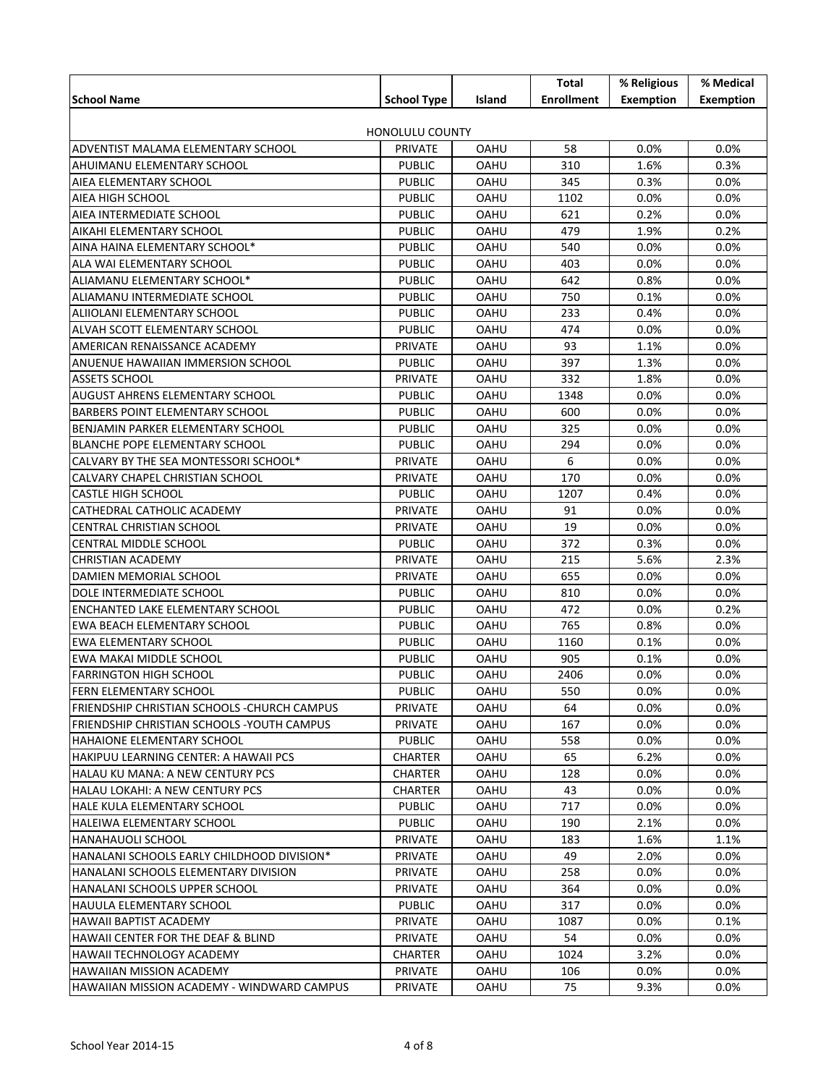|                                              |                    |        | Total             | % Religious      | % Medical        |  |
|----------------------------------------------|--------------------|--------|-------------------|------------------|------------------|--|
| <b>School Name</b>                           | <b>School Type</b> | Island | <b>Enrollment</b> | <b>Exemption</b> | <b>Exemption</b> |  |
|                                              |                    |        |                   |                  |                  |  |
| <b>HONOLULU COUNTY</b>                       |                    |        |                   |                  |                  |  |
| ADVENTIST MALAMA ELEMENTARY SCHOOL           | PRIVATE            | OAHU   | 58                | 0.0%             | 0.0%             |  |
| AHUIMANU ELEMENTARY SCHOOL                   | <b>PUBLIC</b>      | OAHU   | 310               | 1.6%             | 0.3%             |  |
| AIEA ELEMENTARY SCHOOL                       | <b>PUBLIC</b>      | OAHU   | 345               | 0.3%             | 0.0%             |  |
| AIEA HIGH SCHOOL                             | <b>PUBLIC</b>      | OAHU   | 1102              | 0.0%             | 0.0%             |  |
| AIEA INTERMEDIATE SCHOOL                     | <b>PUBLIC</b>      | OAHU   | 621               | 0.2%             | 0.0%             |  |
| AIKAHI ELEMENTARY SCHOOL                     | <b>PUBLIC</b>      | OAHU   | 479               | 1.9%             | 0.2%             |  |
| AINA HAINA ELEMENTARY SCHOOL*                | <b>PUBLIC</b>      | OAHU   | 540               | 0.0%             | 0.0%             |  |
| ALA WAI ELEMENTARY SCHOOL                    | <b>PUBLIC</b>      | OAHU   | 403               | 0.0%             | 0.0%             |  |
| ALIAMANU ELEMENTARY SCHOOL*                  | <b>PUBLIC</b>      | OAHU   | 642               | 0.8%             | 0.0%             |  |
| ALIAMANU INTERMEDIATE SCHOOL                 | <b>PUBLIC</b>      | OAHU   | 750               | 0.1%             | 0.0%             |  |
| ALIIOLANI ELEMENTARY SCHOOL                  | <b>PUBLIC</b>      | OAHU   | 233               | 0.4%             | 0.0%             |  |
| ALVAH SCOTT ELEMENTARY SCHOOL                | <b>PUBLIC</b>      | OAHU   | 474               | 0.0%             | 0.0%             |  |
| AMERICAN RENAISSANCE ACADEMY                 | <b>PRIVATE</b>     | OAHU   | 93                | 1.1%             | 0.0%             |  |
|                                              |                    |        | 397               |                  |                  |  |
| ANUENUE HAWAIIAN IMMERSION SCHOOL            | <b>PUBLIC</b>      | OAHU   |                   | 1.3%             | 0.0%             |  |
| <b>ASSETS SCHOOL</b>                         | <b>PRIVATE</b>     | OAHU   | 332               | 1.8%             | 0.0%             |  |
| <b>AUGUST AHRENS ELEMENTARY SCHOOL</b>       | <b>PUBLIC</b>      | OAHU   | 1348              | 0.0%             | 0.0%             |  |
| BARBERS POINT ELEMENTARY SCHOOL              | <b>PUBLIC</b>      | OAHU   | 600               | 0.0%             | 0.0%             |  |
| BENJAMIN PARKER ELEMENTARY SCHOOL            | <b>PUBLIC</b>      | OAHU   | 325               | 0.0%             | 0.0%             |  |
| <b>BLANCHE POPE ELEMENTARY SCHOOL</b>        | <b>PUBLIC</b>      | OAHU   | 294               | 0.0%             | 0.0%             |  |
| CALVARY BY THE SEA MONTESSORI SCHOOL*        | <b>PRIVATE</b>     | OAHU   | 6                 | 0.0%             | 0.0%             |  |
| CALVARY CHAPEL CHRISTIAN SCHOOL              | <b>PRIVATE</b>     | OAHU   | 170               | 0.0%             | 0.0%             |  |
| <b>CASTLE HIGH SCHOOL</b>                    | <b>PUBLIC</b>      | OAHU   | 1207              | 0.4%             | 0.0%             |  |
| CATHEDRAL CATHOLIC ACADEMY                   | <b>PRIVATE</b>     | OAHU   | 91                | 0.0%             | 0.0%             |  |
| <b>CENTRAL CHRISTIAN SCHOOL</b>              | <b>PRIVATE</b>     | OAHU   | 19                | 0.0%             | 0.0%             |  |
| CENTRAL MIDDLE SCHOOL                        | <b>PUBLIC</b>      | OAHU   | 372               | 0.3%             | 0.0%             |  |
| <b>CHRISTIAN ACADEMY</b>                     | <b>PRIVATE</b>     | OAHU   | 215               | 5.6%             | 2.3%             |  |
| DAMIEN MEMORIAL SCHOOL                       | <b>PRIVATE</b>     | OAHU   | 655               | 0.0%             | 0.0%             |  |
| DOLE INTERMEDIATE SCHOOL                     | <b>PUBLIC</b>      | OAHU   | 810               | 0.0%             | 0.0%             |  |
| ENCHANTED LAKE ELEMENTARY SCHOOL             | <b>PUBLIC</b>      | OAHU   | 472               | 0.0%             | 0.2%             |  |
| EWA BEACH ELEMENTARY SCHOOL                  | <b>PUBLIC</b>      | OAHU   | 765               | 0.8%             | 0.0%             |  |
| EWA ELEMENTARY SCHOOL                        | <b>PUBLIC</b>      | OAHU   | 1160              | 0.1%             | $0.0\%$          |  |
| EWA MAKAI MIDDLE SCHOOL                      | <b>PUBLIC</b>      | OAHU   | 905               | 0.1%             | 0.0%             |  |
| <b>FARRINGTON HIGH SCHOOL</b>                | <b>PUBLIC</b>      | OAHU   | 2406              | 0.0%             | 0.0%             |  |
| <b>FERN ELEMENTARY SCHOOL</b>                | <b>PUBLIC</b>      | OAHU   | 550               | 0.0%             | 0.0%             |  |
| FRIENDSHIP CHRISTIAN SCHOOLS - CHURCH CAMPUS | <b>PRIVATE</b>     | OAHU   | 64                | 0.0%             | 0.0%             |  |
| FRIENDSHIP CHRISTIAN SCHOOLS - YOUTH CAMPUS  | <b>PRIVATE</b>     | OAHU   | 167               | $0.0\%$          | $0.0\%$          |  |
| <b>HAHAIONE ELEMENTARY SCHOOL</b>            | <b>PUBLIC</b>      | OAHU   | 558               | $0.0\%$          | $0.0\%$          |  |
| HAKIPUU LEARNING CENTER: A HAWAII PCS        | <b>CHARTER</b>     | OAHU   | 65                | 6.2%             | $0.0\%$          |  |
| HALAU KU MANA: A NEW CENTURY PCS             | <b>CHARTER</b>     | OAHU   | 128               | $0.0\%$          | $0.0\%$          |  |
| HALAU LOKAHI: A NEW CENTURY PCS              | <b>CHARTER</b>     | OAHU   | 43                | $0.0\%$          | $0.0\%$          |  |
| HALE KULA ELEMENTARY SCHOOL                  | <b>PUBLIC</b>      | OAHU   | 717               | $0.0\%$          | $0.0\%$          |  |
|                                              | <b>PUBLIC</b>      |        | 190               | 2.1%             |                  |  |
| HALEIWA ELEMENTARY SCHOOL                    |                    | OAHU   |                   |                  | $0.0\%$          |  |
| HANAHAUOLI SCHOOL                            | <b>PRIVATE</b>     | OAHU   | 183               | 1.6%             | 1.1%             |  |
| HANALANI SCHOOLS EARLY CHILDHOOD DIVISION*   | <b>PRIVATE</b>     | OAHU   | 49                | 2.0%             | $0.0\%$          |  |
| HANALANI SCHOOLS ELEMENTARY DIVISION         | <b>PRIVATE</b>     | OAHU   | 258               | $0.0\%$          | $0.0\%$          |  |
| HANALANI SCHOOLS UPPER SCHOOL                | <b>PRIVATE</b>     | OAHU   | 364               | $0.0\%$          | $0.0\%$          |  |
| HAUULA ELEMENTARY SCHOOL                     | <b>PUBLIC</b>      | OAHU   | 317               | $0.0\%$          | $0.0\%$          |  |
| HAWAII BAPTIST ACADEMY                       | <b>PRIVATE</b>     | OAHU   | 1087              | $0.0\%$          | 0.1%             |  |
| HAWAII CENTER FOR THE DEAF & BLIND           | PRIVATE            | OAHU   | 54                | $0.0\%$          | $0.0\%$          |  |
| HAWAII TECHNOLOGY ACADEMY                    | <b>CHARTER</b>     | OAHU   | 1024              | 3.2%             | $0.0\%$          |  |
| <b>HAWAIIAN MISSION ACADEMY</b>              | PRIVATE            | OAHU   | 106               | $0.0\%$          | $0.0\%$          |  |
| HAWAIIAN MISSION ACADEMY - WINDWARD CAMPUS   | PRIVATE            | OAHU   | 75                | 9.3%             | $0.0\%$          |  |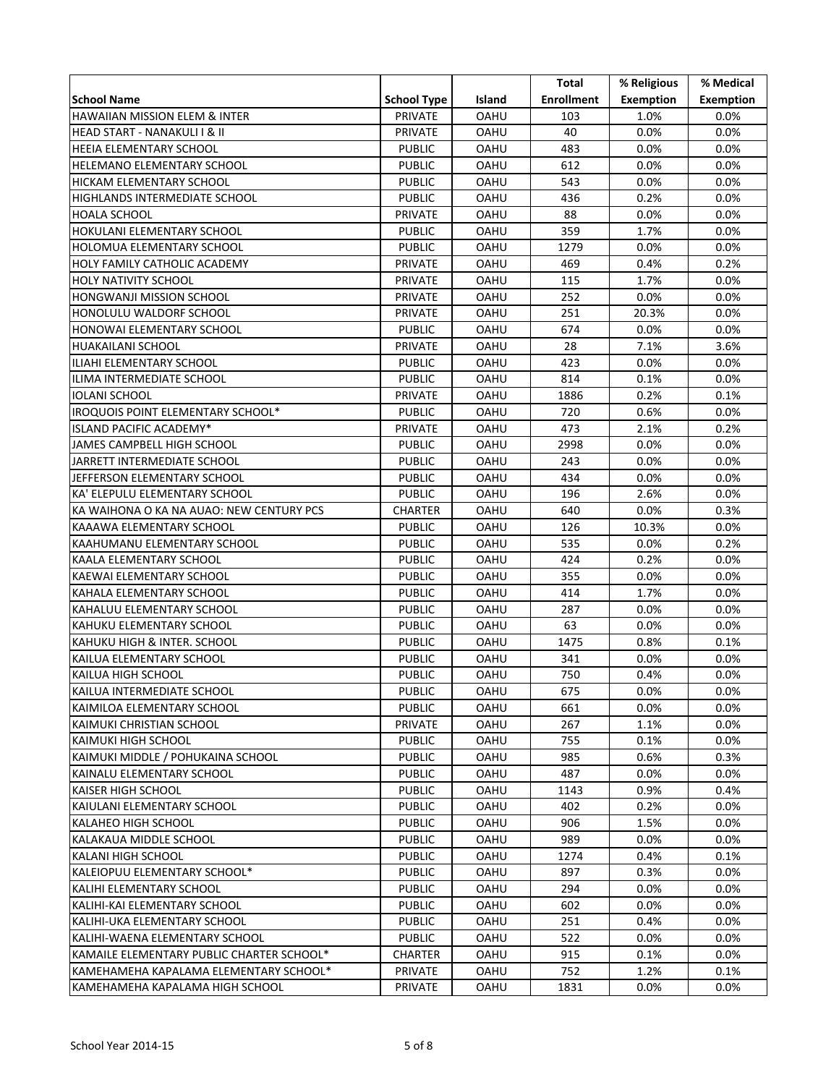|                                           |                    |             | Total             | % Religious      | % Medical        |
|-------------------------------------------|--------------------|-------------|-------------------|------------------|------------------|
| <b>School Name</b>                        | <b>School Type</b> | Island      | <b>Enrollment</b> | <b>Exemption</b> | <b>Exemption</b> |
| HAWAIIAN MISSION ELEM & INTER             | <b>PRIVATE</b>     | OAHU        | 103               | 1.0%             | 0.0%             |
| HEAD START - NANAKULI I & II              | <b>PRIVATE</b>     | OAHU        | 40                | $0.0\%$          | 0.0%             |
| <b>HEEIA ELEMENTARY SCHOOL</b>            | <b>PUBLIC</b>      | OAHU        | 483               | 0.0%             | $0.0\%$          |
| HELEMANO ELEMENTARY SCHOOL                | <b>PUBLIC</b>      | OAHU        | 612               | 0.0%             | $0.0\%$          |
| HICKAM ELEMENTARY SCHOOL                  | <b>PUBLIC</b>      | OAHU        | 543               | 0.0%             | $0.0\%$          |
| HIGHLANDS INTERMEDIATE SCHOOL             | <b>PUBLIC</b>      | OAHU        | 436               | 0.2%             | $0.0\%$          |
| HOALA SCHOOL                              | PRIVATE            | OAHU        | 88                | 0.0%             | $0.0\%$          |
| HOKULANI ELEMENTARY SCHOOL                | <b>PUBLIC</b>      | OAHU        | 359               | 1.7%             | $0.0\%$          |
| HOLOMUA ELEMENTARY SCHOOL                 | <b>PUBLIC</b>      | OAHU        | 1279              | 0.0%             | 0.0%             |
| HOLY FAMILY CATHOLIC ACADEMY              | PRIVATE            | OAHU        | 469               | 0.4%             | 0.2%             |
| HOLY NATIVITY SCHOOL                      | PRIVATE            | OAHU        | 115               | 1.7%             | $0.0\%$          |
| HONGWANJI MISSION SCHOOL                  | <b>PRIVATE</b>     | OAHU        | 252               | $0.0\%$          | $0.0\%$          |
| HONOLULU WALDORF SCHOOL                   | <b>PRIVATE</b>     | OAHU        | 251               | 20.3%            | $0.0\%$          |
| HONOWAI ELEMENTARY SCHOOL                 | <b>PUBLIC</b>      | OAHU        | 674               | 0.0%             | $0.0\%$          |
| <b>HUAKAILANI SCHOOL</b>                  | PRIVATE            | OAHU        | 28                | 7.1%             | 3.6%             |
| ILIAHI ELEMENTARY SCHOOL                  | <b>PUBLIC</b>      | OAHU        | 423               | 0.0%             | 0.0%             |
| ILIMA INTERMEDIATE SCHOOL                 | <b>PUBLIC</b>      | OAHU        | 814               | 0.1%             | 0.0%             |
| IOLANI SCHOOL                             | PRIVATE            | OAHU        | 1886              | 0.2%             | 0.1%             |
| IROQUOIS POINT ELEMENTARY SCHOOL*         | <b>PUBLIC</b>      | OAHU        | 720               | 0.6%             | $0.0\%$          |
| ISLAND PACIFIC ACADEMY*                   | PRIVATE            | OAHU        | 473               | 2.1%             | 0.2%             |
| JAMES CAMPBELL HIGH SCHOOL                | <b>PUBLIC</b>      | OAHU        | 2998              | 0.0%             | $0.0\%$          |
| JARRETT INTERMEDIATE SCHOOL               | <b>PUBLIC</b>      | OAHU        | 243               | 0.0%             | $0.0\%$          |
| JEFFERSON ELEMENTARY SCHOOL               | <b>PUBLIC</b>      | OAHU        | 434               | 0.0%             | $0.0\%$          |
| KA' ELEPULU ELEMENTARY SCHOOL             | <b>PUBLIC</b>      | OAHU        | 196               | 2.6%             | $0.0\%$          |
| KA WAIHONA O KA NA AUAO: NEW CENTURY PCS  | <b>CHARTER</b>     | OAHU        | 640               | 0.0%             | 0.3%             |
| KAAAWA ELEMENTARY SCHOOL                  | <b>PUBLIC</b>      | OAHU        | 126               | 10.3%            | $0.0\%$          |
| KAAHUMANU ELEMENTARY SCHOOL               | <b>PUBLIC</b>      | OAHU        | 535               | $0.0\%$          | 0.2%             |
| KAALA ELEMENTARY SCHOOL                   | <b>PUBLIC</b>      | OAHU        | 424               | 0.2%             | $0.0\%$          |
| KAEWAI ELEMENTARY SCHOOL                  | <b>PUBLIC</b>      | OAHU        | 355               | 0.0%             | $0.0\%$          |
| KAHALA ELEMENTARY SCHOOL                  | <b>PUBLIC</b>      | OAHU        | 414               | 1.7%             | $0.0\%$          |
| KAHALUU ELEMENTARY SCHOOL                 | <b>PUBLIC</b>      | <b>OAHU</b> | 287               | 0.0%             | $0.0\%$          |
| KAHUKU ELEMENTARY SCHOOL                  | <b>PUBLIC</b>      | OAHU        | 63                | 0.0%             | 0.0%             |
| KAHUKU HIGH & INTER. SCHOOL               | <b>PUBLIC</b>      | OAHU        | 1475              | 0.8%             | $0.1\%$          |
| KAILUA ELEMENTARY SCHOOL                  | <b>PUBLIC</b>      | OAHU        | 341               | 0.0%             | $0.0\%$          |
| KAILUA HIGH SCHOOL                        | <b>PUBLIC</b>      | OAHU        | 750               | 0.4%             | $0.0\%$          |
| KAILUA INTERMEDIATE SCHOOL                | <b>PUBLIC</b>      | OAHU        | 675               | 0.0%             | $0.0\%$          |
| KAIMILOA ELEMENTARY SCHOOL                | <b>PUBLIC</b>      | <b>OAHU</b> | 661               | $0.0\%$          | $0.0\%$          |
| KAIMUKI CHRISTIAN SCHOOL                  | PRIVATE            | OAHU        | 267               | 1.1%             | $0.0\%$          |
| KAIMUKI HIGH SCHOOL                       | <b>PUBLIC</b>      | OAHU        | 755               | $0.1\%$          | $0.0\%$          |
| KAIMUKI MIDDLE / POHUKAINA SCHOOL         | <b>PUBLIC</b>      | OAHU        | 985               | 0.6%             | 0.3%             |
| KAINALU ELEMENTARY SCHOOL                 | <b>PUBLIC</b>      | OAHU        | 487               | $0.0\%$          | $0.0\%$          |
| KAISER HIGH SCHOOL                        | <b>PUBLIC</b>      | OAHU        | 1143              | 0.9%             | 0.4%             |
| KAIULANI ELEMENTARY SCHOOL                | <b>PUBLIC</b>      | OAHU        | 402               | 0.2%             | 0.0%             |
| KALAHEO HIGH SCHOOL                       | <b>PUBLIC</b>      | <b>OAHU</b> | 906               | 1.5%             | $0.0\%$          |
| KALAKAUA MIDDLE SCHOOL                    | <b>PUBLIC</b>      | <b>OAHU</b> | 989               | $0.0\%$          | $0.0\%$          |
| KALANI HIGH SCHOOL                        | <b>PUBLIC</b>      | <b>OAHU</b> | 1274              | 0.4%             | $0.1\%$          |
| KALEIOPUU ELEMENTARY SCHOOL*              | <b>PUBLIC</b>      | OAHU        | 897               | $0.3\%$          | $0.0\%$          |
| KALIHI ELEMENTARY SCHOOL                  | <b>PUBLIC</b>      | OAHU        | 294               | $0.0\%$          | $0.0\%$          |
| KALIHI-KAI ELEMENTARY SCHOOL              | <b>PUBLIC</b>      | OAHU        | 602               | $0.0\%$          | 0.0%             |
| KALIHI-UKA ELEMENTARY SCHOOL              | <b>PUBLIC</b>      | OAHU        | 251               | 0.4%             | 0.0%             |
| KALIHI-WAENA ELEMENTARY SCHOOL            | <b>PUBLIC</b>      | OAHU        | 522               | $0.0\%$          | $0.0\%$          |
| KAMAILE ELEMENTARY PUBLIC CHARTER SCHOOL* | CHARTER            | OAHU        | 915               | $0.1\%$          | $0.0\%$          |
| KAMEHAMEHA KAPALAMA ELEMENTARY SCHOOL*    | PRIVATE            | OAHU        | 752               | 1.2%             | $0.1\%$          |
| KAMEHAMEHA KAPALAMA HIGH SCHOOL           | PRIVATE            | OAHU        | 1831              | $0.0\%$          | $0.0\%$          |
|                                           |                    |             |                   |                  |                  |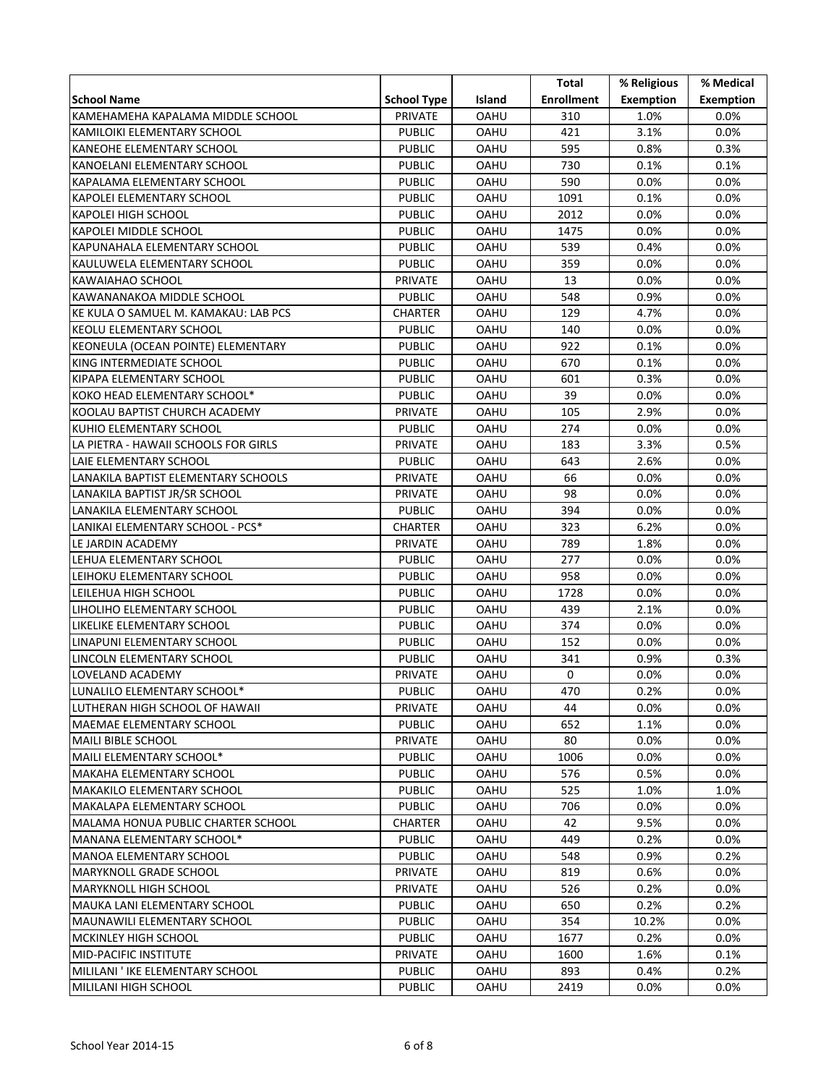|                                      |                    |             | Total             | % Religious      | % Medical        |
|--------------------------------------|--------------------|-------------|-------------------|------------------|------------------|
| <b>School Name</b>                   | <b>School Type</b> | Island      | <b>Enrollment</b> | <b>Exemption</b> | <b>Exemption</b> |
| KAMEHAMEHA KAPALAMA MIDDLE SCHOOL    | <b>PRIVATE</b>     | OAHU        | 310               | 1.0%             | 0.0%             |
| KAMILOIKI ELEMENTARY SCHOOL          | <b>PUBLIC</b>      | OAHU        | 421               | 3.1%             | 0.0%             |
| KANEOHE ELEMENTARY SCHOOL            | <b>PUBLIC</b>      | OAHU        | 595               | 0.8%             | 0.3%             |
| KANOELANI ELEMENTARY SCHOOL          | <b>PUBLIC</b>      | OAHU        | 730               | 0.1%             | 0.1%             |
| KAPALAMA ELEMENTARY SCHOOL           | <b>PUBLIC</b>      | OAHU        | 590               | 0.0%             | $0.0\%$          |
| KAPOLEI ELEMENTARY SCHOOL            | <b>PUBLIC</b>      | OAHU        | 1091              | 0.1%             | $0.0\%$          |
| KAPOLEI HIGH SCHOOL                  | <b>PUBLIC</b>      | OAHU        | 2012              | 0.0%             | $0.0\%$          |
| KAPOLEI MIDDLE SCHOOL                | <b>PUBLIC</b>      | OAHU        | 1475              | 0.0%             | $0.0\%$          |
| KAPUNAHALA ELEMENTARY SCHOOL         | <b>PUBLIC</b>      | OAHU        | 539               | 0.4%             | $0.0\%$          |
| KAULUWELA ELEMENTARY SCHOOL          | <b>PUBLIC</b>      | OAHU        | 359               | 0.0%             | $0.0\%$          |
| KAWAIAHAO SCHOOL                     | PRIVATE            | OAHU        | 13                | 0.0%             | $0.0\%$          |
| KAWANANAKOA MIDDLE SCHOOL            | <b>PUBLIC</b>      | OAHU        | 548               | 0.9%             | $0.0\%$          |
| KE KULA O SAMUEL M. KAMAKAU: LAB PCS | CHARTER            | OAHU        | 129               | 4.7%             | $0.0\%$          |
| KEOLU ELEMENTARY SCHOOL              | <b>PUBLIC</b>      | OAHU        | 140               | 0.0%             | $0.0\%$          |
| KEONEULA (OCEAN POINTE) ELEMENTARY   | <b>PUBLIC</b>      | OAHU        | 922               | 0.1%             | 0.0%             |
| KING INTERMEDIATE SCHOOL             | <b>PUBLIC</b>      | <b>OAHU</b> | 670               | 0.1%             | $0.0\%$          |
| KIPAPA ELEMENTARY SCHOOL             | <b>PUBLIC</b>      | OAHU        | 601               | 0.3%             | $0.0\%$          |
| KOKO HEAD ELEMENTARY SCHOOL*         | <b>PUBLIC</b>      | OAHU        | 39                | 0.0%             | $0.0\%$          |
| KOOLAU BAPTIST CHURCH ACADEMY        | PRIVATE            | <b>OAHU</b> | 105               | 2.9%             | $0.0\%$          |
| KUHIO ELEMENTARY SCHOOL              | <b>PUBLIC</b>      | <b>OAHU</b> | 274               | 0.0%             | $0.0\%$          |
| LA PIETRA - HAWAII SCHOOLS FOR GIRLS | PRIVATE            | OAHU        | 183               | 3.3%             | 0.5%             |
| LAIE ELEMENTARY SCHOOL               | <b>PUBLIC</b>      | OAHU        | 643               | 2.6%             | $0.0\%$          |
| LANAKILA BAPTIST ELEMENTARY SCHOOLS  | PRIVATE            | OAHU        | 66                | 0.0%             | $0.0\%$          |
| LANAKILA BAPTIST JR/SR SCHOOL        | PRIVATE            | OAHU        | 98                | 0.0%             | $0.0\%$          |
| LANAKILA ELEMENTARY SCHOOL           | <b>PUBLIC</b>      | OAHU        | 394               | 0.0%             | $0.0\%$          |
| LANIKAI ELEMENTARY SCHOOL - PCS*     | CHARTER            | OAHU        | 323               | 6.2%             | $0.0\%$          |
| LE JARDIN ACADEMY                    | PRIVATE            | OAHU        | 789               | 1.8%             | $0.0\%$          |
| LEHUA ELEMENTARY SCHOOL              | <b>PUBLIC</b>      | OAHU        | 277               | 0.0%             | $0.0\%$          |
| LEIHOKU ELEMENTARY SCHOOL            | <b>PUBLIC</b>      | OAHU        | 958               | 0.0%             | $0.0\%$          |
| LEILEHUA HIGH SCHOOL                 | <b>PUBLIC</b>      | OAHU        | 1728              | 0.0%             | 0.0%             |
| LIHOLIHO ELEMENTARY SCHOOL           | <b>PUBLIC</b>      | <b>OAHU</b> | 439               | 2.1%             | $0.0\%$          |
| LIKELIKE ELEMENTARY SCHOOL           | <b>PUBLIC</b>      | OAHU        | 374               | 0.0%             | 0.0%             |
| LINAPUNI ELEMENTARY SCHOOL           | <b>PUBLIC</b>      | OAHU        | 152               | 0.0%             | 0.0%             |
| LINCOLN ELEMENTARY SCHOOL            | <b>PUBLIC</b>      | OAHU        | 341               | 0.9%             | 0.3%             |
| LOVELAND ACADEMY                     | PRIVATE            | OAHU        | 0                 | $0.0\%$          | $0.0\%$          |
| LUNALILO ELEMENTARY SCHOOL*          | <b>PUBLIC</b>      | OAHU        | 470               | 0.2%             | $0.0\%$          |
| LUTHERAN HIGH SCHOOL OF HAWAII       | PRIVATE            | <b>OAHU</b> | 44                | $0.0\%$          | $0.0\%$          |
| MAEMAE ELEMENTARY SCHOOL             | <b>PUBLIC</b>      | OAHU        | 652               | 1.1%             | $0.0\%$          |
| <b>MAILI BIBLE SCHOOL</b>            | PRIVATE            | OAHU        | 80                | $0.0\%$          | $0.0\%$          |
| MAILI ELEMENTARY SCHOOL*             | <b>PUBLIC</b>      | OAHU        | 1006              | $0.0\%$          | $0.0\%$          |
| <b>MAKAHA ELEMENTARY SCHOOL</b>      | <b>PUBLIC</b>      | <b>OAHU</b> | 576               | $0.5\%$          | $0.0\%$          |
| <b>MAKAKILO ELEMENTARY SCHOOL</b>    | <b>PUBLIC</b>      | OAHU        | 525               | 1.0%             | 1.0%             |
| MAKALAPA ELEMENTARY SCHOOL           | <b>PUBLIC</b>      | OAHU        | 706               | $0.0\%$          | 0.0%             |
| MALAMA HONUA PUBLIC CHARTER SCHOOL   | CHARTER            | <b>OAHU</b> | 42                | 9.5%             | $0.0\%$          |
| MANANA ELEMENTARY SCHOOL*            | <b>PUBLIC</b>      | <b>OAHU</b> | 449               | $0.2\%$          | $0.0\%$          |
| MANOA ELEMENTARY SCHOOL              | <b>PUBLIC</b>      | <b>OAHU</b> | 548               | 0.9%             | 0.2%             |
| <b>MARYKNOLL GRADE SCHOOL</b>        | <b>PRIVATE</b>     | OAHU        | 819               | 0.6%             | $0.0\%$          |
| MARYKNOLL HIGH SCHOOL                | <b>PRIVATE</b>     | OAHU        | 526               | $0.2\%$          | $0.0\%$          |
| MAUKA LANI ELEMENTARY SCHOOL         | <b>PUBLIC</b>      | OAHU        | 650               | $0.2\%$          | 0.2%             |
| MAUNAWILI ELEMENTARY SCHOOL          | <b>PUBLIC</b>      | OAHU        | 354               | 10.2%            | 0.0%             |
| MCKINLEY HIGH SCHOOL                 | <b>PUBLIC</b>      | OAHU        | 1677              | 0.2%             | $0.0\%$          |
| MID-PACIFIC INSTITUTE                | PRIVATE            | OAHU        | 1600              | 1.6%             | $0.1\%$          |
| MILILANI ' IKE ELEMENTARY SCHOOL     | <b>PUBLIC</b>      | OAHU        | 893               | 0.4%             | 0.2%             |
| MILILANI HIGH SCHOOL                 | <b>PUBLIC</b>      | OAHU        | 2419              | $0.0\%$          | $0.0\%$          |
|                                      |                    |             |                   |                  |                  |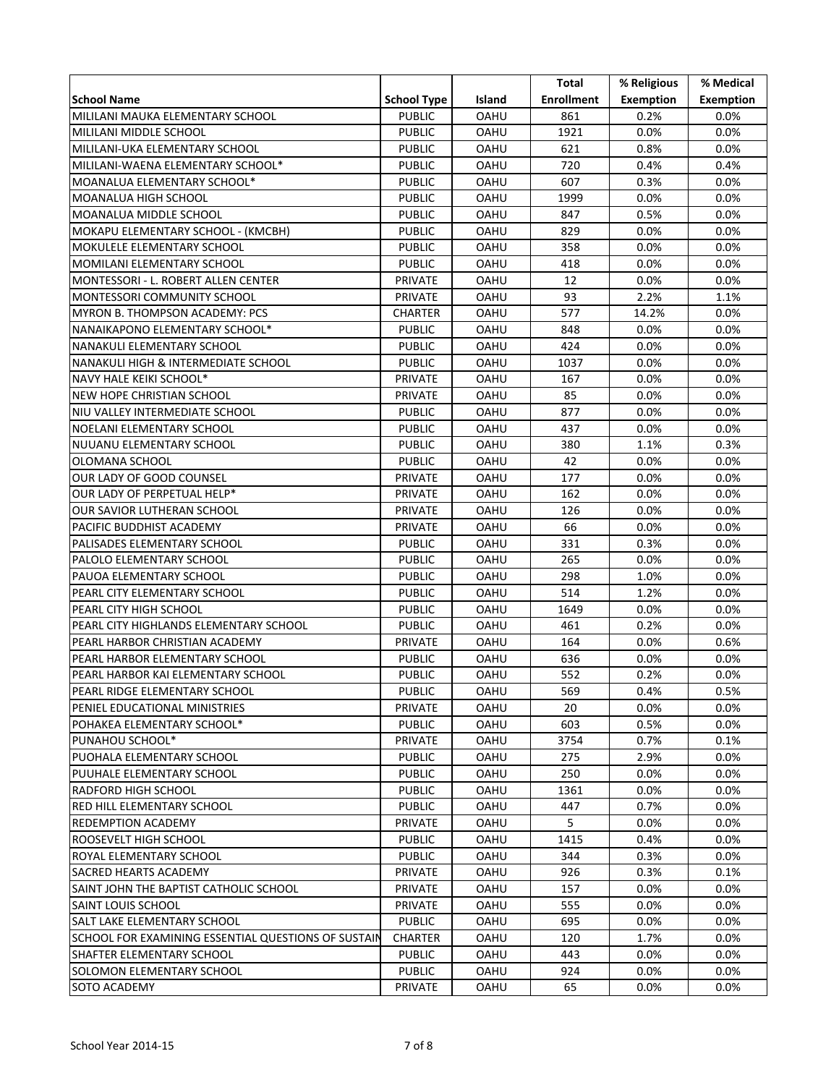|                                                     |                    |             | Total             | % Religious      | % Medical        |
|-----------------------------------------------------|--------------------|-------------|-------------------|------------------|------------------|
| <b>School Name</b>                                  | <b>School Type</b> | Island      | <b>Enrollment</b> | <b>Exemption</b> | <b>Exemption</b> |
| MILILANI MAUKA ELEMENTARY SCHOOL                    | <b>PUBLIC</b>      | OAHU        | 861               | 0.2%             | 0.0%             |
| MILILANI MIDDLE SCHOOL                              | <b>PUBLIC</b>      | OAHU        | 1921              | $0.0\%$          | 0.0%             |
| MILILANI-UKA ELEMENTARY SCHOOL                      | PUBLIC             | OAHU        | 621               | 0.8%             | $0.0\%$          |
| MILILANI-WAENA ELEMENTARY SCHOOL*                   | PUBLIC             | <b>OAHU</b> | 720               | 0.4%             | 0.4%             |
| MOANALUA ELEMENTARY SCHOOL*                         | <b>PUBLIC</b>      | <b>OAHU</b> | 607               | 0.3%             | $0.0\%$          |
| MOANALUA HIGH SCHOOL                                | <b>PUBLIC</b>      | OAHU        | 1999              | 0.0%             | 0.0%             |
| MOANALUA MIDDLE SCHOOL                              | <b>PUBLIC</b>      | <b>OAHU</b> | 847               | 0.5%             | 0.0%             |
| MOKAPU ELEMENTARY SCHOOL - (KMCBH)                  | PUBLIC             | OAHU        | 829               | 0.0%             | 0.0%             |
| MOKULELE ELEMENTARY SCHOOL                          | PUBLIC             | OAHU        | 358               | 0.0%             | $0.0\%$          |
| MOMILANI ELEMENTARY SCHOOL                          | PUBLIC             | OAHU        | 418               | 0.0%             | $0.0\%$          |
| MONTESSORI - L. ROBERT ALLEN CENTER                 | PRIVATE            | <b>OAHU</b> | 12                | 0.0%             | $0.0\%$          |
| MONTESSORI COMMUNITY SCHOOL                         | PRIVATE            | <b>OAHU</b> | 93                | 2.2%             | 1.1%             |
| MYRON B. THOMPSON ACADEMY: PCS                      | <b>CHARTER</b>     | OAHU        | 577               | 14.2%            | 0.0%             |
| NANAIKAPONO ELEMENTARY SCHOOL*                      | <b>PUBLIC</b>      | OAHU        | 848               | 0.0%             | 0.0%             |
| NANAKULI ELEMENTARY SCHOOL                          | PUBLIC             | OAHU        | 424               | 0.0%             | $0.0\%$          |
| NANAKULI HIGH & INTERMEDIATE SCHOOL                 | PUBLIC             | <b>OAHU</b> | 1037              | 0.0%             | $0.0\%$          |
| NAVY HALE KEIKI SCHOOL*                             | PRIVATE            | OAHU        | 167               | 0.0%             | $0.0\%$          |
| NEW HOPE CHRISTIAN SCHOOL                           | PRIVATE            | <b>OAHU</b> | 85                | 0.0%             | $0.0\%$          |
| NIU VALLEY INTERMEDIATE SCHOOL                      | PUBLIC             | <b>OAHU</b> | 877               | 0.0%             | 0.0%             |
| NOELANI ELEMENTARY SCHOOL                           | <b>PUBLIC</b>      | <b>OAHU</b> | 437               | 0.0%             | 0.0%             |
| NUUANU ELEMENTARY SCHOOL                            | PUBLIC             | OAHU        | 380               | 1.1%             | 0.3%             |
| OLOMANA SCHOOL                                      | PUBLIC             | <b>OAHU</b> | 42                | 0.0%             | $0.0\%$          |
| OUR LADY OF GOOD COUNSEL                            | PRIVATE            | OAHU        | 177               | 0.0%             | $0.0\%$          |
| OUR LADY OF PERPETUAL HELP*                         | PRIVATE            | <b>OAHU</b> | 162               | 0.0%             | $0.0\%$          |
| OUR SAVIOR LUTHERAN SCHOOL                          | PRIVATE            | <b>OAHU</b> | 126               | 0.0%             | 0.0%             |
| PACIFIC BUDDHIST ACADEMY                            | PRIVATE            | <b>OAHU</b> | 66                | 0.0%             | 0.0%             |
| PALISADES ELEMENTARY SCHOOL                         | PUBLIC             | OAHU        | 331               | 0.3%             | $0.0\%$          |
| PALOLO ELEMENTARY SCHOOL                            | PUBLIC             | OAHU        | 265               | 0.0%             | $0.0\%$          |
| PAUOA ELEMENTARY SCHOOL                             | PUBLIC             | OAHU        | 298               | 1.0%             | $0.0\%$          |
| PEARL CITY ELEMENTARY SCHOOL                        | PUBLIC             | <b>OAHU</b> | 514               | 1.2%             | $0.0\%$          |
| PEARL CITY HIGH SCHOOL                              | PUBLIC             | OAHU        | 1649              | 0.0%             | 0.0%             |
| PEARL CITY HIGHLANDS ELEMENTARY SCHOOL              | PUBLIC             | OAHU        | 461               | 0.2%             | 0.0%             |
| PEARL HARBOR CHRISTIAN ACADEMY                      | PRIVATE            | <b>OAHU</b> | 164               | 0.0%             | 0.6%             |
| PEARL HARBOR ELEMENTARY SCHOOL                      | PUBLIC             | OAHU        | 636               | 0.0%             | $0.0\%$          |
| PEARL HARBOR KAI ELEMENTARY SCHOOL                  | PUBLIC             | OAHU        | 552               | 0.2%             | $0.0\%$          |
| PEARL RIDGE ELEMENTARY SCHOOL                       | <b>PUBLIC</b>      | OAHU        | 569               | 0.4%             | 0.5%             |
| PENIEL EDUCATIONAL MINISTRIES                       | PRIVATE            | <b>OAHU</b> | 20                | 0.0%             | $0.0\%$          |
| POHAKEA ELEMENTARY SCHOOL*                          | <b>PUBLIC</b>      | OAHU        | 603               | 0.5%             | $0.0\%$          |
| PUNAHOU SCHOOL*                                     | PRIVATE            | OAHU        | 3754              | 0.7%             | 0.1%             |
| PUOHALA ELEMENTARY SCHOOL                           | PUBLIC             | OAHU        | 275               | 2.9%             | $0.0\%$          |
| PUUHALE ELEMENTARY SCHOOL                           | PUBLIC             | OAHU        | 250               | $0.0\%$          | $0.0\%$          |
| RADFORD HIGH SCHOOL                                 | PUBLIC             | OAHU        | 1361              | 0.0%             | $0.0\%$          |
| IRED HILL ELEMENTARY SCHOOL                         | PUBLIC             | OAHU        | 447               | 0.7%             | $0.0\%$          |
| <b>REDEMPTION ACADEMY</b>                           | PRIVATE            | <b>OAHU</b> | 5                 | 0.0%             | $0.0\%$          |
| IROOSEVELT HIGH SCHOOL                              | <b>PUBLIC</b>      | <b>OAHU</b> | 1415              | 0.4%             | $0.0\%$          |
| ROYAL ELEMENTARY SCHOOL                             | <b>PUBLIC</b>      | <b>OAHU</b> | 344               | 0.3%             | $0.0\%$          |
| <b>SACRED HEARTS ACADEMY</b>                        | PRIVATE            | OAHU        | 926               | 0.3%             | 0.1%             |
| SAINT JOHN THE BAPTIST CATHOLIC SCHOOL              | PRIVATE            | OAHU        | 157               | 0.0%             | 0.0%             |
| ISAINT LOUIS SCHOOL                                 | PRIVATE            | OAHU        | 555               | 0.0%             | $0.0\%$          |
| SALT LAKE ELEMENTARY SCHOOL                         | <b>PUBLIC</b>      | OAHU        | 695               | 0.0%             | $0.0\%$          |
| SCHOOL FOR EXAMINING ESSENTIAL QUESTIONS OF SUSTAIN | <b>CHARTER</b>     | OAHU        | 120               | 1.7%             | $0.0\%$          |
| SHAFTER ELEMENTARY SCHOOL                           | <b>PUBLIC</b>      | OAHU        | 443               | 0.0%             | $0.0\%$          |
| SOLOMON ELEMENTARY SCHOOL                           | <b>PUBLIC</b>      | OAHU        | 924               | 0.0%             | $0.0\%$          |
| <b>SOTO ACADEMY</b>                                 | PRIVATE            | OAHU        | 65                | 0.0%             | $0.0\%$          |